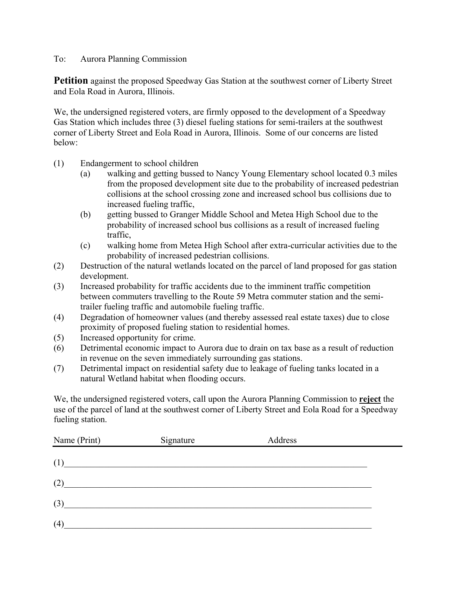## To: Aurora Planning Commission

**Petition** against the proposed Speedway Gas Station at the southwest corner of Liberty Street and Eola Road in Aurora, Illinois.

We, the undersigned registered voters, are firmly opposed to the development of a Speedway Gas Station which includes three (3) diesel fueling stations for semi-trailers at the southwest corner of Liberty Street and Eola Road in Aurora, Illinois. Some of our concerns are listed below:

- (1) Endangerment to school children
	- (a) walking and getting bussed to Nancy Young Elementary school located 0.3 miles from the proposed development site due to the probability of increased pedestrian collisions at the school crossing zone and increased school bus collisions due to increased fueling traffic,
	- (b) getting bussed to Granger Middle School and Metea High School due to the probability of increased school bus collisions as a result of increased fueling traffic,
	- (c) walking home from Metea High School after extra-curricular activities due to the probability of increased pedestrian collisions.
- (2) Destruction of the natural wetlands located on the parcel of land proposed for gas station development.
- (3) Increased probability for traffic accidents due to the imminent traffic competition between commuters travelling to the Route 59 Metra commuter station and the semitrailer fueling traffic and automobile fueling traffic.
- (4) Degradation of homeowner values (and thereby assessed real estate taxes) due to close proximity of proposed fueling station to residential homes.
- (5) Increased opportunity for crime.
- (6) Detrimental economic impact to Aurora due to drain on tax base as a result of reduction in revenue on the seven immediately surrounding gas stations.
- (7) Detrimental impact on residential safety due to leakage of fueling tanks located in a natural Wetland habitat when flooding occurs.

We, the undersigned registered voters, call upon the Aurora Planning Commission to **reject** the use of the parcel of land at the southwest corner of Liberty Street and Eola Road for a Speedway fueling station.

| Name (Print) | Signature                                                                                                            | Address |  |
|--------------|----------------------------------------------------------------------------------------------------------------------|---------|--|
| (1)          | <u> 2000 - 2000 - 2000 - 2000 - 2000 - 2000 - 2000 - 2000 - 2000 - 2000 - 2000 - 2000 - 2000 - 2000 - 2000 - 200</u> |         |  |
| (2)          |                                                                                                                      |         |  |
| (3)          |                                                                                                                      |         |  |
| (4)          |                                                                                                                      |         |  |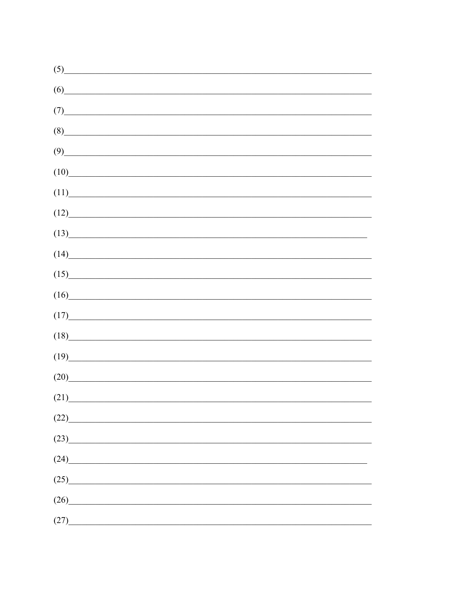| (5)  |                                                                                                                                                                                                                                      |  |  |
|------|--------------------------------------------------------------------------------------------------------------------------------------------------------------------------------------------------------------------------------------|--|--|
| (6)  |                                                                                                                                                                                                                                      |  |  |
| (7)  | <u> 1989 - Johann John Stone, mars eta bainar eta bainar eta baina eta baina eta baina eta baina eta baina eta b</u>                                                                                                                 |  |  |
| (8)  |                                                                                                                                                                                                                                      |  |  |
| (9)  | <u> 1989 - Johann John Stone, mars eta bainar eta bainar eta baina eta baina eta baina eta baina eta baina eta b</u>                                                                                                                 |  |  |
| (10) | <u> 1989 - Johann Harry Harry Harry Harry Harry Harry Harry Harry Harry Harry Harry Harry Harry Harry Harry Harry Harry Harry Harry Harry Harry Harry Harry Harry Harry Harry Harry Harry Harry Harry Harry Harry Harry Harry Ha</u> |  |  |
| (11) | <u> 1989 - Johann Barbara, martxa alemaniar a</u>                                                                                                                                                                                    |  |  |
| (12) | <u> 1989 - Johann Barn, mars ann an t-Amhain an t-Amhain an t-Amhain an t-Amhain an t-Amhain an t-Amhain an t-Amh</u>                                                                                                                |  |  |
| (13) | <u> 1990 - Johann John Stone, mars eta bainar eta politikaria (h. 1900).</u>                                                                                                                                                         |  |  |
| (14) |                                                                                                                                                                                                                                      |  |  |
| (15) | <u> 1989 - Johann Stoff, deutscher Stoffen und der Stoffen und der Stoffen und der Stoffen und der Stoffen und der</u>                                                                                                               |  |  |
| (16) | <u> 1989 - Johann Barn, mars ann an t-Amhain an t-Amhain an t-Amhain an t-Amhain an t-Amhain an t-Amhain an t-Amh</u>                                                                                                                |  |  |
| (17) | <u> 1989 - Johann Barn, mars ann an t-Amhain Aonaich an t-Aonaich an t-Aonaich an t-Aonaich an t-Aonaich an t-Aon</u>                                                                                                                |  |  |
| (18) |                                                                                                                                                                                                                                      |  |  |
| (19) | <u> 1980 - Jan Barbara, margaret eta biztanleria (h. 1980).</u>                                                                                                                                                                      |  |  |
| (20) | <u> 1980 - Jan Stein Stein, fransk politik forhat (</u>                                                                                                                                                                              |  |  |
| (21) |                                                                                                                                                                                                                                      |  |  |
| (22) |                                                                                                                                                                                                                                      |  |  |
| (23) |                                                                                                                                                                                                                                      |  |  |
| (24) | <u> 1980 - Jan Stein Stein Stein Stein Stein Stein Stein Stein Stein Stein Stein Stein Stein Stein Stein Stein S</u>                                                                                                                 |  |  |
| (25) |                                                                                                                                                                                                                                      |  |  |
| (26) |                                                                                                                                                                                                                                      |  |  |
| (27) |                                                                                                                                                                                                                                      |  |  |